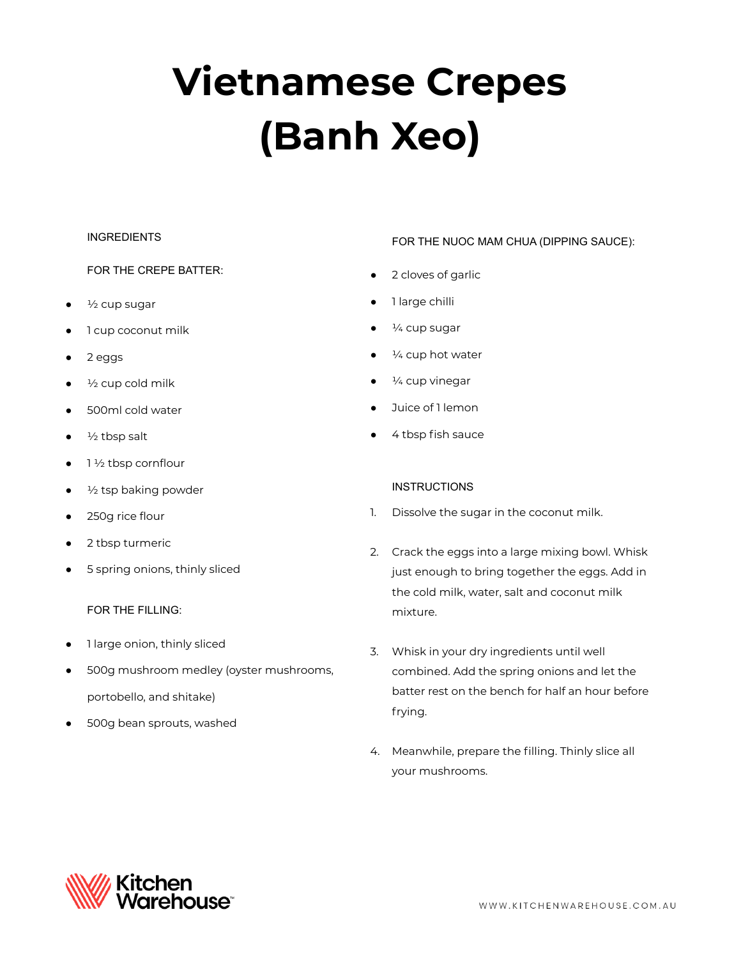# **Vietnamese Crepes (Banh Xeo)**

## **INGREDIENTS**

# FOR THE CREPE BATTER:

- $\frac{1}{2}$  cup sugar
- 1 cup coconut milk
- 2 eggs
- $\frac{1}{2}$  cup cold milk
- 500ml cold water
- $\frac{1}{2}$  tbsp salt
- $1\frac{1}{2}$  tbsp cornflour
- $\frac{1}{2}$  tsp baking powder
- 250g rice flour
- 2 tbsp turmeric
- 5 spring onions, thinly sliced

#### FOR THE FILLING:

- 1 large onion, thinly sliced
- 500g mushroom medley (oyster mushrooms, portobello, and shitake)
- 500g bean sprouts, washed

#### FOR THE NUOC MAM CHUA (DIPPING SAUCE):

- 2 cloves of garlic
- 1 large chilli
- $\frac{1}{4}$  cup sugar
- $\frac{1}{4}$  cup hot water
- $\frac{1}{4}$  cup vinegar
- Juice of 1 lemon
- 4 tbsp fish sauce

#### **INSTRUCTIONS**

- 1. Dissolve the sugar in the coconut milk.
- 2. Crack the eggs into a large mixing bowl. Whisk just enough to bring together the eggs. Add in the cold milk, water, salt and coconut milk mixture.
- 3. Whisk in your dry ingredients until well combined. Add the spring onions and let the batter rest on the bench for half an hour before frying.
- 4. Meanwhile, prepare the filling. Thinly slice all your mushrooms.